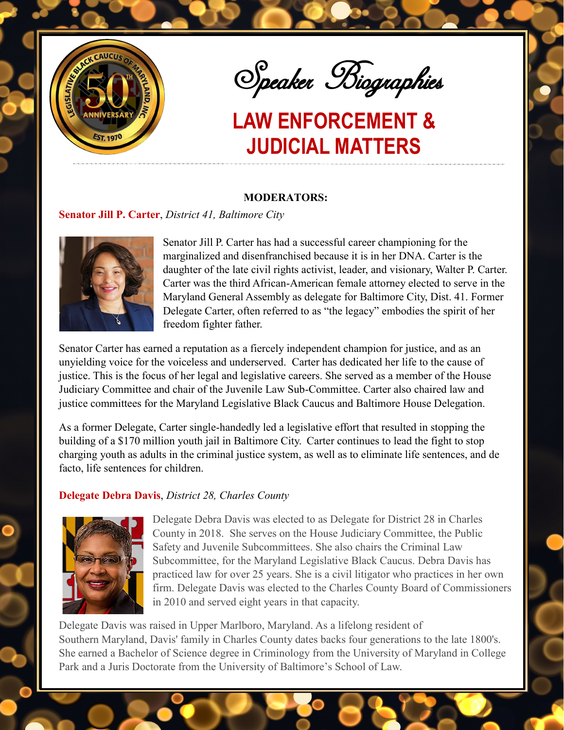

Speaker Biographies

# **LAW ENFORCEMENT & JUDICIAL MATTERS**

#### **MODERATORS:**

**Senator Jill P. Carter**, *District 41, Baltimore City*



Senator Jill P. Carter has had a successful career championing for the marginalized and disenfranchised because it is in her DNA. Carter is the daughter of the late civil rights activist, leader, and visionary, Walter P. Carter. Carter was the third African-American female attorney elected to serve in the Maryland General Assembly as delegate for Baltimore City, Dist. 41. Former Delegate Carter, often referred to as "the legacy" embodies the spirit of her freedom fighter father.

Senator Carter has earned a reputation as a fiercely independent champion for justice, and as an unyielding voice for the voiceless and underserved. Carter has dedicated her life to the cause of justice. This is the focus of her legal and legislative careers. She served as a member of the House Judiciary Committee and chair of the Juvenile Law Sub-Committee. Carter also chaired law and justice committees for the Maryland Legislative Black Caucus and Baltimore House Delegation.

As a former Delegate, Carter single-handedly led a legislative effort that resulted in stopping the building of a \$170 million youth jail in Baltimore City. Carter continues to lead the fight to stop charging youth as adults in the criminal justice system, as well as to eliminate life sentences, and de facto, life sentences for children.

#### **Delegate Debra Davis**, *District 28, Charles County*



Delegate Debra Davis was elected to as Delegate for District 28 in Charles County in 2018. She serves on the House Judiciary Committee, the Public Safety and Juvenile Subcommittees. She also chairs the Criminal Law Subcommittee, for the Maryland Legislative Black Caucus. Debra Davis has practiced law for over 25 years. She is a civil litigator who practices in her own firm. Delegate Davis was elected to the Charles County Board of Commissioners in 2010 and served eight years in that capacity.

Delegate Davis was raised in Upper Marlboro, Maryland. As a lifelong resident of Southern Maryland, Davis' family in Charles County dates backs four generations to the late 1800's. She earned a Bachelor of Science degree in Criminology from the University of Maryland in College Park and a Juris Doctorate from the University of Baltimore's School of Law.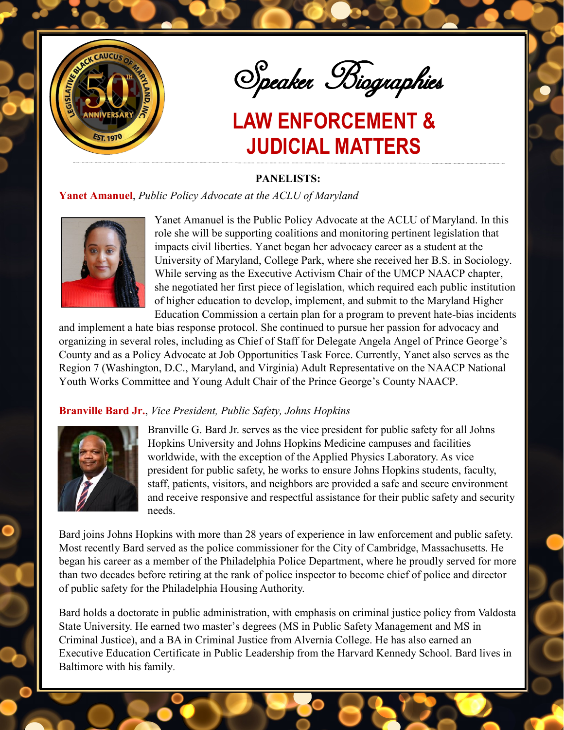

Speaker Biographies

## **LAW ENFORCEMENT & JUDICIAL MATTERS**

### **PANELISTS:**

**Yanet Amanuel**, *Public Policy Advocate at the ACLU of Maryland* 



Yanet Amanuel is the Public Policy Advocate at the ACLU of Maryland. In this role she will be supporting coalitions and monitoring pertinent legislation that impacts civil liberties. Yanet began her advocacy career as a student at the University of Maryland, College Park, where she received her B.S. in Sociology. While serving as the Executive Activism Chair of the UMCP NAACP chapter, she negotiated her first piece of legislation, which required each public institution of higher education to develop, implement, and submit to the Maryland Higher Education Commission a certain plan for a program to prevent hate-bias incidents

and implement a hate bias response protocol. She continued to pursue her passion for advocacy and organizing in several roles, including as Chief of Staff for Delegate Angela Angel of Prince George's County and as a Policy Advocate at Job Opportunities Task Force. Currently, Yanet also serves as the Region 7 (Washington, D.C., Maryland, and Virginia) Adult Representative on the NAACP National Youth Works Committee and Young Adult Chair of the Prince George's County NAACP.

## **Branville Bard Jr.**, *Vice President, Public Safety, Johns Hopkins*



Branville G. Bard Jr. serves as the vice president for public safety for all Johns Hopkins University and Johns Hopkins Medicine campuses and facilities worldwide, with the exception of the Applied Physics Laboratory. As vice president for public safety, he works to ensure Johns Hopkins students, faculty, staff, patients, visitors, and neighbors are provided a safe and secure environment and receive responsive and respectful assistance for their public safety and security needs.

Bard joins Johns Hopkins with more than 28 years of experience in law enforcement and public safety. Most recently Bard served as the police commissioner for the City of Cambridge, Massachusetts. He began his career as a member of the Philadelphia Police Department, where he proudly served for more than two decades before retiring at the rank of police inspector to become chief of police and director of public safety for the Philadelphia Housing Authority.

Bard holds a doctorate in public administration, with emphasis on criminal justice policy from Valdosta State University. He earned two master's degrees (MS in Public Safety Management and MS in Criminal Justice), and a BA in Criminal Justice from Alvernia College. He has also earned an Executive Education Certificate in Public Leadership from the Harvard Kennedy School. Bard lives in Baltimore with his family.